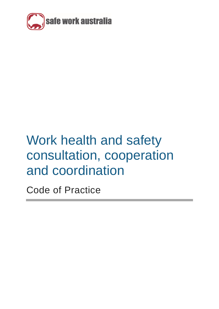

# Work health and safety consultation, cooperation and coordination

Code of Practice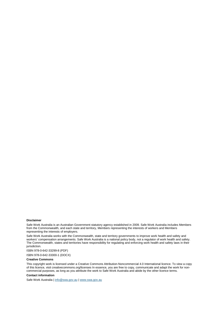#### **Disclaimer**

Safe Work Australia is an Australian Government statutory agency established in 2009. Safe Work Australia includes Members from the Commonwealth, and each state and territory, Members representing the interests of workers and Members representing the interests of employers.

Safe Work Australia works with the Commonwealth, state and territory governments to improve work health and safety and workers' compensation arrangements. Safe Work Australia is a national policy body, not a regulator of work health and safety. The Commonwealth, states and territories have responsibility for regulating and enforcing work health and safety laws in their jurisdiction.

ISBN 978-0-642-33299-8 (PDF)

ISBN 978-0-642-33300-1 (DOCX)

#### **Creative Commons**

This copyright work is licensed under a Creative Commons Attribution-Noncommercial 4.0 International licence. To view a copy of this licence, visit creativecommons.org/licenses In essence, you are free to copy, communicate and adapt the work for noncommercial purposes, as long as you attribute the work to Safe Work Australia and abide by the other licence terms.

#### **Contact information**

Safe Work Australia [| info@swa.gov.au](mailto:info@swa.gov.au) [| www.swa.gov.au](http://www.swa.gov.au/)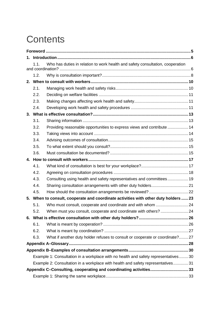# **Contents**

| 1. |                                                                                       |                                                                                 |  |  |
|----|---------------------------------------------------------------------------------------|---------------------------------------------------------------------------------|--|--|
|    | Who has duties in relation to work health and safety consultation, cooperation<br>1.1 |                                                                                 |  |  |
|    | 1.2.                                                                                  |                                                                                 |  |  |
| 2. |                                                                                       |                                                                                 |  |  |
|    | 2.1.                                                                                  |                                                                                 |  |  |
|    | 2.2.                                                                                  |                                                                                 |  |  |
|    | 2.3.                                                                                  |                                                                                 |  |  |
|    | 2.4.                                                                                  |                                                                                 |  |  |
|    |                                                                                       |                                                                                 |  |  |
|    | 3.1.                                                                                  |                                                                                 |  |  |
|    | 3.2.                                                                                  | Providing reasonable opportunities to express views and contribute  14          |  |  |
|    | 3.3.                                                                                  |                                                                                 |  |  |
|    | 3.4.                                                                                  |                                                                                 |  |  |
|    | 3.5.                                                                                  |                                                                                 |  |  |
|    | 3.6.                                                                                  |                                                                                 |  |  |
|    |                                                                                       |                                                                                 |  |  |
|    | 4.1.                                                                                  |                                                                                 |  |  |
|    | 4.2.                                                                                  |                                                                                 |  |  |
|    | 4.3.                                                                                  | Consulting using health and safety representatives and committees 19            |  |  |
|    | 4.4.                                                                                  |                                                                                 |  |  |
|    | 4.5.                                                                                  |                                                                                 |  |  |
|    | 5. When to consult, cooperate and coordinate activities with other duty holders  23   |                                                                                 |  |  |
|    | 5.1.                                                                                  |                                                                                 |  |  |
|    | 5.2                                                                                   | When must you consult, cooperate and coordinate with others?                    |  |  |
|    |                                                                                       |                                                                                 |  |  |
|    | 6.1.                                                                                  |                                                                                 |  |  |
|    | 6.2.                                                                                  |                                                                                 |  |  |
|    | 6.3.                                                                                  | What if another duty holder refuses to consult or cooperate or coordinate? 27   |  |  |
|    |                                                                                       |                                                                                 |  |  |
|    |                                                                                       |                                                                                 |  |  |
|    | Example 1: Consultation in a workplace with no health and safety representatives30    |                                                                                 |  |  |
|    |                                                                                       | Example 2: Consultation in a workplace with health and safety representatives31 |  |  |
|    |                                                                                       |                                                                                 |  |  |
|    |                                                                                       |                                                                                 |  |  |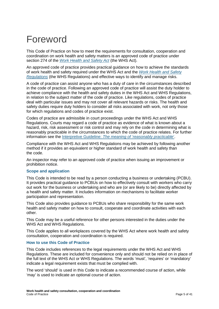# <span id="page-4-0"></span>Foreword

This Code of Practice on how to meet the requirements for consultation, cooperation and coordination on work health and safety matters is an approved code of practice under section 274 of the *[Work Health and Safety Act](https://www.safeworkaustralia.gov.au/doc/model-work-health-and-safety-act)* (the WHS Act).

An approved code of practice provides practical guidance on how to achieve the standards of work health and safety required under the WHS Act and the *[Work Health and Safety](https://www.safeworkaustralia.gov.au/doc/model-work-health-and-safety-regulations)  [Regulations](https://www.safeworkaustralia.gov.au/doc/model-work-health-and-safety-regulations)* (the WHS Regulations) and effective ways to identify and manage risks.

A code of practice can assist anyone who has a duty of care in the circumstances described in the code of practice. Following an approved code of practice will assist the duty holder to achieve compliance with the health and safety duties in the WHS Act and WHS Regulations, in relation to the subject matter of the code of practice. Like regulations, codes of practice deal with particular issues and may not cover all relevant hazards or risks. The health and safety duties require duty holders to consider all risks associated with work, not only those for which regulations and codes of practice exist.

Codes of practice are admissible in court proceedings under the WHS Act and WHS Regulations. Courts may regard a code of practice as evidence of what is known about a hazard, risk, risk assessment or risk control and may rely on the code in determining what is reasonably practicable in the circumstances to which the code of practice relates. For further information see the Interpretive Guideline: *[The meaning of 'reasonably practicable](https://www.safeworkaustralia.gov.au/doc/interpretive-guideline-model-work-health-and-safety-act-meaning-reasonably-practicable)*'.

Compliance with the WHS Act and WHS Regulations may be achieved by following another method if it provides an equivalent or higher standard of work health and safety than the code.

An inspector may refer to an approved code of practice when issuing an improvement or prohibition notice.

#### **Scope and application**

This Code is intended to be read by a person conducting a business or undertaking (PCBU). It provides practical guidance to PCBUs on how to effectively consult with workers who carry out work for the business or undertaking and who are (or are likely to be) directly affected by a health and safety matter. It includes information on mechanisms to facilitate worker participation and representation.

This Code also provides guidance to PCBUs who share responsibility for the same work health and safety matter on how to consult, cooperate and coordinate activities with each other.

This Code may be a useful reference for other persons interested in the duties under the WHS Act and WHS Regulations.

This Code applies to all workplaces covered by the WHS Act where work health and safety consultation, cooperation and coordination is required.

#### **How to use this Code of Practice**

This Code includes references to the legal requirements under the WHS Act and WHS Regulations. These are included for convenience only and should not be relied on in place of the full text of the WHS Act or WHS Regulations. The words 'must', 'requires' or 'mandatory' indicate a legal requirement exists that must be complied with.

The word 'should' is used in this Code to indicate a recommended course of action, while 'may' is used to indicate an optional course of action.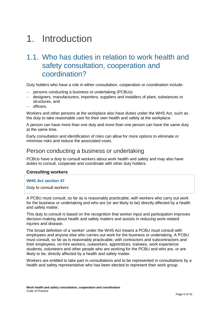# <span id="page-5-0"></span>1. Introduction

# <span id="page-5-1"></span>1.1. Who has duties in relation to work health and safety consultation, cooperation and coordination?

Duty holders who have a role in either consultation, cooperation or coordination include:

- persons conducting a business or undertaking (PCBUs)
- − designers, manufacturers, importers, suppliers and installers of plant, substances or structures, and
- − officers.

Workers and other persons at the workplace also have duties under the WHS Act, such as the duty to take reasonable care for their own health and safety at the workplace.

A person can have more than one duty and more than one person can have the same duty at the same time.

Early consultation and identification of risks can allow for more options to eliminate or minimise risks and reduce the associated costs.

### Person conducting a business or undertaking

PCBUs have a duty to consult workers about work health and safety and may also have duties to consult, cooperate and coordinate with other duty holders.

#### **Consulting workers**

#### **WHS Act section 47**

Duty to consult workers

A PCBU must consult, so far as is reasonably practicable, with workers who carry out work for the business or undertaking and who are (or are likely to be) directly affected by a health and safety matter.

This duty to consult is based on the recognition that worker input and participation improves decision-making about health and safety matters and assists in reducing work-related injuries and disease.

The broad definition of a 'worker' under the WHS Act means a PCBU must consult with employees and anyone else who carries out work for the business or undertaking. A PCBU must consult, so far as is reasonably practicable, with contractors and subcontractors and their employees, on-hire workers, outworkers, apprentices, trainees, work experience students, volunteers and other people who are working for the PCBU and who are, or are likely to be, directly affected by a health and safety matter.

Workers are entitled to take part in consultations and to be represented in consultations by a health and safety representative who has been elected to represent their work group.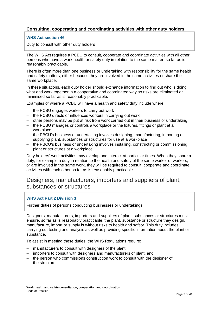#### **Consulting, cooperating and coordinating activities with other duty holders**

#### **WHS Act section 46**

Duty to consult with other duty holders

The WHS Act requires a PCBU to consult, cooperate and coordinate activities with all other persons who have a work health or safety duty in relation to the same matter, so far as is reasonably practicable.

There is often more than one business or undertaking with responsibility for the same health and safety matters, either because they are involved in the same activities or share the same workplace.

In these situations, each duty holder should exchange information to find out who is doing what and work together in a cooperative and coordinated way so risks are eliminated or minimised so far as is reasonably practicable.

Examples of where a PCBU will have a health and safety duty include where:

- − the PCBU engages workers to carry out work
- − the PCBU directs or influences workers in carrying out work
- − other persons may be put at risk from work carried out in their business or undertaking
- − the PCBU manages or controls a workplace or the fixtures, fittings or plant at a workplace
- − the PBCU's business or undertaking involves designing, manufacturing, importing or supplying plant, substances or structures for use at a workplace
- − the PBCU's business or undertaking involves installing, constructing or commissioning plant or structures at a workplace.

Duty holders' work activities may overlap and interact at particular times. When they share a duty, for example a duty in relation to the health and safety of the same worker or workers, or are involved in the same work, they will be required to consult, cooperate and coordinate activities with each other so far as is reasonably practicable.

## Designers, manufacturers, importers and suppliers of plant, substances or structures

#### **WHS Act Part 2 Division 3**

Further duties of persons conducting businesses or undertakings

Designers, manufacturers, importers and suppliers of plant, substances or structures must ensure, so far as is reasonably practicable, the plant, substance or structure they design, manufacture, import or supply is without risks to health and safety. This duty includes carrying out testing and analysis as well as providing specific information about the plant or substance.

To assist in meeting these duties, the WHS Regulations require:

- − manufacturers to consult with designers of the plant
- − importers to consult with designers and manufacturers of plant, and
- − the person who commissions construction work to consult with the designer of the structure.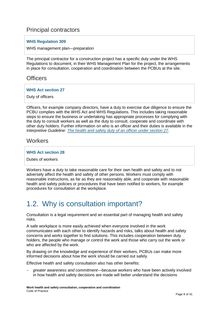## Principal contractors

#### **WHS Regulation 309**

#### WHS management plan—preparation

The principal contractor for a construction project has a specific duty under the WHS Regulations to document, in their WHS Management Plan for the project, the arrangements in place for consultation, cooperation and coordination between the PCBUs at the site.

### **Officers**

#### **WHS Act section 27**

Duty of officers

Officers, for example company directors, have a duty to exercise due diligence to ensure the PCBU complies with the WHS Act and WHS Regulations. This includes taking reasonable steps to ensure the business or undertaking has appropriate processes for complying with the duty to consult workers as well as the duty to consult, cooperate and coordinate with other duty holders. Further information on who is an officer and their duties is available in the *[Interpretive Guideline: The health and safety duty of an officer under section 27](https://www.safeworkaustralia.gov.au/doc/interpretive-guideline-model-work-health-and-safety-act-health-and-safety-duty-officer-under)*.

### **Workers**

#### **WHS Act section 28**

Duties of workers

Workers have a duty to take reasonable care for their own health and safety and to not adversely affect the health and safety of other persons. Workers must comply with reasonable instructions, as far as they are reasonably able, and cooperate with reasonable health and safety policies or procedures that have been notified to workers, for example procedures for consultation at the workplace.

# <span id="page-7-0"></span>1.2. Why is consultation important?

Consultation is a legal requirement and an essential part of managing health and safety risks.

A safe workplace is more easily achieved when everyone involved in the work communicates with each other to identify hazards and risks, talks about health and safety concerns and works together to find solutions. This includes cooperation between duty holders, the people who manage or control the work and those who carry out the work or who are affected by the work.

By drawing on the knowledge and experience of their workers, PCBUs can make more informed decisions about how the work should be carried out safely.

Effective health and safety consultation also has other benefits:

− *greater awareness and commitment*—because workers who have been actively involved in how health and safety decisions are made will better understand the decisions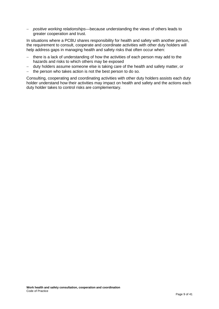− *positive working relationships*—because understanding the views of others leads to greater cooperation and trust.

In situations where a PCBU shares responsibility for health and safety with another person, the requirement to consult, cooperate and coordinate activities with other duty holders will help address gaps in managing health and safety risks that often occur when:

- − there is a lack of understanding of how the activities of each person may add to the hazards and risks to which others may be exposed
- − duty holders assume someone else is taking care of the health and safety matter, or
- − the person who takes action is not the best person to do so.

Consulting, cooperating and coordinating activities with other duty holders assists each duty holder understand how their activities may impact on health and safety and the actions each duty holder takes to control risks are complementary.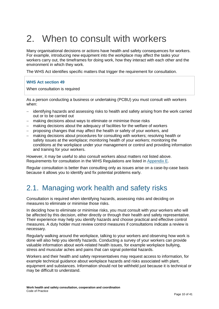# <span id="page-9-0"></span>2. When to consult with workers

Many organisational decisions or actions have health and safety consequences for workers. For example, introducing new equipment into the workplace may affect the tasks your workers carry out, the timeframes for doing work, how they interact with each other and the environment in which they work.

The WHS Act identifies specific matters that trigger the requirement for consultation.

#### **WHS Act section 49**

When consultation is required

As a person conducting a business or undertaking (PCBU) you must consult with workers when:

- identifying hazards and assessing risks to health and safety arising from the work carried out or to be carried out
- − making decisions about ways to eliminate or minimise those risks
- − making decisions about the adequacy of facilities for the welfare of workers
- − proposing changes that may affect the health or safety of your workers, and
- − making decisions about procedures for consulting with workers; resolving health or safety issues at the workplace; monitoring health of your workers; monitoring the conditions at the workplace under your management or control and providing information and training for your workers.

However, it may be useful to also consult workers about matters not listed above. Requirements for consultation in the WHS Regulations are listed in [Appendix E.](#page-38-0)

Regular consultation is better than consulting only as issues arise on a case-by-case basis because it allows you to identify and fix potential problems early.

# <span id="page-9-1"></span>2.1. Managing work health and safety risks

Consultation is required when identifying hazards, assessing risks and deciding on measures to eliminate or minimise those risks.

In deciding how to eliminate or minimise risks, you must consult with your workers who will be affected by this decision, either directly or through their health and safety representative. Their experience may help you identify hazards and choose practical and effective control measures. A duty holder must review control measures if consultations indicate a review is necessary.

Regularly walking around the workplace, talking to your workers and observing how work is done will also help you identify hazards. Conducting a survey of your workers can provide valuable information about work-related health issues, for example workplace bullying, stress and muscular aches and pains that can signal potential hazards.

Workers and their health and safety representatives may request access to information, for example technical guidance about workplace hazards and risks associated with plant, equipment and substances. Information should not be withheld just because it is technical or may be difficult to understand.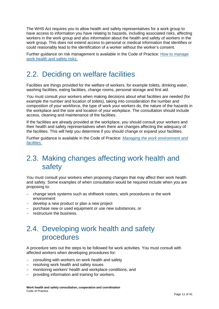The WHS Act requires you to allow health and safety representatives for a work group to have access to information you have relating to hazards, including associated risks, affecting workers in the work group and also information about the health and safety of workers in the work group. This does not extend access to personal or medical information that identifies or could reasonably lead to the identification of a worker without the worker's consent.

Further guidance on risk management is available in the Code of Practice: [How to manage](https://www.safeworkaustralia.gov.au/doc/model-code-practice-how-manage-work-health-and-safety-risks)  [work health and safety risks.](https://www.safeworkaustralia.gov.au/doc/model-code-practice-how-manage-work-health-and-safety-risks)

## <span id="page-10-0"></span>2.2. Deciding on welfare facilities

Facilities are things provided for the welfare of workers, for example toilets, drinking water, washing facilities, eating facilities, change rooms, personal storage and first aid.

You must consult your workers when making decisions about what facilities are needed (for example the number and location of toilets), taking into consideration the number and composition of your workforce, the type of work your workers do, the nature of the hazards in the workplace and the size and location of your workplace. The consultation should include access, cleaning and maintenance of the facilities.

If the facilities are already provided at the workplace, you should consult your workers and their health and safety representatives when there are changes affecting the adequacy of the facilities. This will help you determine if you should change or expand your facilities.

Further guidance is available in the Code of Practice: *[Managing the work environment and](https://www.safeworkaustralia.gov.au/doc/model-code-practice-managing-work-environment-and-facilities)  [facilities](https://www.safeworkaustralia.gov.au/doc/model-code-practice-managing-work-environment-and-facilities)*.

# <span id="page-10-1"></span>2.3. Making changes affecting work health and safety

You must consult your workers when proposing changes that may affect their work health and safety. Some examples of when consultation would be required include when you are proposing to:

- − change work systems such as shiftwork rosters, work procedures or the work environment
- − develop a new product or plan a new project
- − purchase new or used equipment or use new substances, or
- <span id="page-10-2"></span>− restructure the business.

# 2.4. Developing work health and safety procedures

A procedure sets out the steps to be followed for work activities. You must consult with affected workers when developing procedures for:

- − consulting with workers on work health and safety
- − resolving work health and safety issues
- monitoring workers' health and workplace conditions, and
- providing information and training for workers.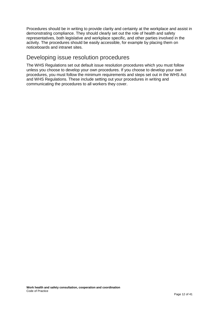Procedures should be in writing to provide clarity and certainty at the workplace and assist in demonstrating compliance. They should clearly set out the role of health and safety representatives, both legislative and workplace specific, and other parties involved in the activity. The procedures should be easily accessible, for example by placing them on noticeboards and intranet sites.

## Developing issue resolution procedures

The WHS Regulations set out default issue resolution procedures which you must follow unless you choose to develop your own procedures. If you choose to develop your own procedures, you must follow the minimum requirements and steps set out in the WHS Act and WHS Regulations. These include setting out your procedures in writing and communicating the procedures to all workers they cover.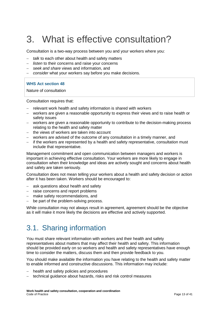# <span id="page-12-0"></span>3. What is effective consultation?

Consultation is a two-way process between you and your workers where you:

- − *talk* to each other about health and safety matters
- − *listen* to their concerns and raise your concerns
- − *seek and share* views and information, and
- − *consider* what your workers say before you make decisions.

#### **WHS Act section 48**

Nature of consultation

Consultation requires that:

- relevant work health and safety information is shared with workers
- − workers are given a reasonable opportunity to express their views and to raise health or safety issues
- − workers are given a reasonable opportunity to contribute to the decision-making process relating to the health and safety matter
- − the views of workers are taken into account
- − workers are advised of the outcome of any consultation in a timely manner, and
- − if the workers are represented by a health and safety representative, consultation must include that representative.

Management commitment and open communication between managers and workers is important in achieving effective consultation. Your workers are more likely to engage in consultation when their knowledge and ideas are actively sought and concerns about health and safety are taken seriously.

Consultation does not mean telling your workers about a health and safety decision or action after it has been taken. Workers should be encouraged to:

- − ask questions about health and safety
- − raise concerns and report problems
- − make safety recommendations, and
- be part of the problem-solving process.

While consultation may not always result in agreement, agreement should be the objective as it will make it more likely the decisions are effective and actively supported.

# <span id="page-12-1"></span>3.1. Sharing information

You must share relevant information with workers and their health and safety representatives about matters that may affect their health and safety. This information should be provided early on so workers and health and safety representatives have enough time to consider the matters, discuss them and then provide feedback to you.

You should make available the information you have relating to the health and safety matter to enable informed and constructive discussions. This information may include:

- health and safety policies and procedures
- technical guidance about hazards, risks and risk control measures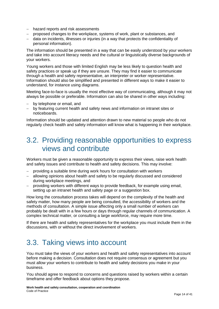- − hazard reports and risk assessments
- − proposed changes to the workplace, systems of work, plant or substances, and
- − data on incidents, illnesses or injuries (in a way that protects the confidentiality of personal information).

The information should be presented in a way that can be easily understood by your workers and take into account literacy needs and the cultural or linguistically diverse backgrounds of your workers.

Young workers and those with limited English may be less likely to question health and safety practices or speak up if they are unsure. They may find it easier to communicate through a health and safety representative, an interpreter or worker representative. Information should also be simplified and presented in different ways to make it easier to understand, for instance using diagrams.

Meeting face-to-face is usually the most effective way of communicating, although it may not always be possible or preferable. Information can also be shared in other ways including:

- − by telephone or email, and
- − by featuring current health and safety news and information on intranet sites or noticeboards.

Information should be updated and attention drawn to new material so people who do not regularly check health and safety information will know what is happening in their workplace.

## <span id="page-13-0"></span>3.2. Providing reasonable opportunities to express views and contribute

Workers must be given a reasonable opportunity to express their views, raise work health and safety issues and contribute to health and safety decisions. This may involve:

- − providing a suitable time during work hours for consultation with workers
- − allowing opinions about health and safety to be regularly discussed and considered during workplace meetings, and
- − providing workers with different ways to provide feedback, for example using email, setting up an intranet health and safety page or a suggestion box.

How long the consultation process takes will depend on the complexity of the health and safety matter, how many people are being consulted, the accessibility of workers and the methods of consultation. A simple issue affecting only a small number of workers can probably be dealt with in a few hours or days through regular channels of communication. A complex technical matter, or consulting a large workforce, may require more time.

If there are health and safety representatives for the workplace you must include them in the discussions, with or without the direct involvement of workers.

# <span id="page-13-1"></span>3.3. Taking views into account

You must take the views of your workers and health and safety representatives into account before making a decision. Consultation does not require consensus or agreement but you must allow your workers to contribute to health and safety decisions you make in your business.

You should agree to respond to concerns and questions raised by workers within a certain timeframe and offer feedback about options they propose.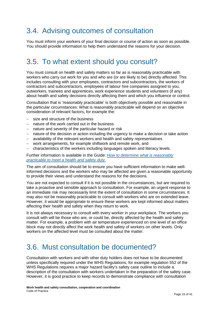# <span id="page-14-0"></span>3.4. Advising outcomes of consultation

You must inform your workers of your final decision or course of action as soon as possible. You should provide information to help them understand the reasons for your decision.

# <span id="page-14-1"></span>3.5. To what extent should you consult?

You must consult on health and safety matters so far as is reasonably practicable with workers who carry out work for you and who are (or are likely to be) directly affected. This includes consulting with your employees, contractors and subcontractors, the workers of contractors and subcontractors, employees of labour hire companies assigned to you, outworkers, trainees and apprentices, work experience students and volunteers (if any) about health and safety decisions directly affecting them and which you influence or control.

Consultation that is 'reasonably practicable' is both objectively possible and reasonable in the particular circumstances. What is reasonably practicable will depend on an objective consideration of relevant factors, for example the:

- − size and structure of the business
- − nature of the work carried out in the business
- − nature and severity of the particular hazard or risk
- − nature of the decision or action including the urgency to make a decision or take action
- availability of the relevant workers and health and safety representatives
- − work arrangements, for example shiftwork and remote work, and
- − characteristics of the workers including languages spoken and literacy levels.

#### Further information is available in the Guide: *[How to determine what is reasonably](https://www.safeworkaustralia.gov.au/doc/how-determine-what-reasonably-practicable-meet-health-and-safety-duty)  [practicable to meet a health and safety duty](https://www.safeworkaustralia.gov.au/doc/how-determine-what-reasonably-practicable-meet-health-and-safety-duty)*.

The aim of consultation should be to ensure you have sufficient information to make wellinformed decisions and the workers who may be affected are given a reasonable opportunity to provide their views and understand the reasons for the decisions.

You are not expected to consult if it is not possible in the circumstances, but are required to take a proactive and sensible approach to consultation. For example, an urgent response to an immediate risk may necessarily limit the extent of consultation in some circumstances. It may also not be reasonably practicable to consult with workers who are on extended leave. However, it would be appropriate to ensure these workers are kept informed about matters affecting their health and safety when they return to work.

It is not always necessary to consult with every worker in your workplace. The workers you consult with will be those who are, or could be, directly affected by the health and safety matter. For example, a problem with air temperature experienced on one level of an office block may not directly affect the work health and safety of workers on other levels. Only workers on the affected level must be consulted about the matter.

# <span id="page-14-2"></span>3.6. Must consultation be documented?

Consultation with workers and with other duty holders does not have to be documented unless specifically required under the WHS Regulations, for example regulation 552 of the WHS Regulations requires a major hazard facility's safety case outline to include a description of the consultation with workers undertaken in the preparation of the safety case. However, it is good practice to keep records to demonstrate compliance with consultation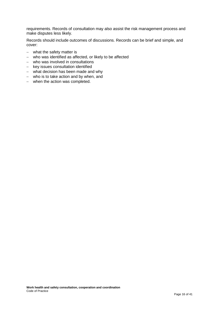requirements. Records of consultation may also assist the risk management process and make disputes less likely.

Records should include outcomes of discussions. Records can be brief and simple, and cover:

- − what the safety matter is
- − who was identified as affected, or likely to be affected
- − who was involved in consultations
- − key issues consultation identified
- − what decision has been made and why
- − who is to take action and by when, and
- − when the action was completed.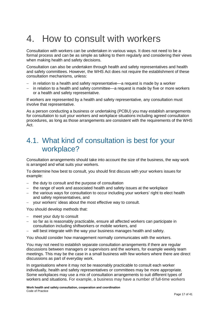# <span id="page-16-0"></span>4. How to consult with workers

Consultation with workers can be undertaken in various ways. It does not need to be a formal process and can be as simple as talking to them regularly and considering their views when making health and safety decisions.

Consultation can also be undertaken through health and safety representatives and health and safety committees. However, the WHS Act does not require the establishment of these consultation mechanisms, unless:

- − in relation to a health and safety representative—a request is made by a worker
- − in relation to a health and safety committee—a request is made by five or more workers or a health and safety representative.

If workers are represented by a health and safety representative, any consultation must involve that representative.

As a person conducting a business or undertaking (PCBU) you may establish arrangements for consultation to suit your workers and workplace situations including agreed consultation procedures, as long as those arrangements are consistent with the requirements of the WHS Act.

## <span id="page-16-1"></span>4.1. What kind of consultation is best for your workplace?

Consultation arrangements should take into account the size of the business, the way work is arranged and what suits your workers.

To determine how best to consult, you should first discuss with your workers issues for example:

- − the duty to consult and the purpose of consultation
- − the range of work and associated health and safety issues at the workplace
- − the various ways for consultation to occur including your workers' right to elect health and safety representatives, and
- − your workers' ideas about the most effective way to consult.

You should develop methods that:

- − meet your duty to consult
- so far as is reasonably practicable, ensure all affected workers can participate in consultation including shiftworkers or mobile workers, and
- will best integrate with the way your business manages health and safety.

You should consider how management normally communicates with the workers.

You may not need to establish separate consultation arrangements if there are regular discussions between managers or supervisors and the workers, for example weekly team meetings. This may be the case in a small business with few workers where there are direct discussions as part of everyday work.

In organisations where it may not be reasonably practicable to consult each worker individually, health and safety representatives or committees may be more appropriate. Some workplaces may use a mix of consultation arrangements to suit different types of workers and situations. For example, a business may have a number of full-time workers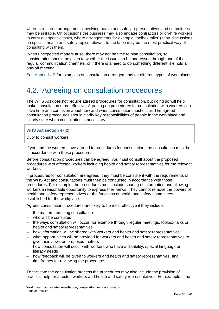where structured arrangements involving health and safety representatives and committees may be suitable. On occasions the business may also engage contractors or on-hire workers to carry out specific tasks, where arrangements for example 'toolbox talks' (short discussions on specific health and safety topics relevant to the task) may be the most practical way of consulting with them.

When unexpected matters arise, there may not be time to plan consultation, so consideration should be given to whether the issue can be addressed through one of the regular communication channels, or if there is a need to do something different like hold a one-off meeting.

<span id="page-17-0"></span>See [Appendix B](#page-29-0) for examples of consultation arrangements for different types of workplaces.

# 4.2. Agreeing on consultation procedures

The WHS Act does not require agreed procedures for consultation, but doing so will help make consultation more effective. Agreeing on procedures for consultation with workers can save time and confusion about how and when consultation must occur. The agreed consultation procedures should clarify key responsibilities of people in the workplace and clearly state when consultation is necessary.

#### **WHS Act section 47(2)**

Duty to consult workers

If you and the workers have agreed to procedures for consultation, the consultation must be in accordance with those procedures.

Before consultation procedures can be agreed, you must consult about the proposed procedures with affected workers including health and safety representatives for the relevant workers.

If procedures for consultation are agreed, they must be consistent with the requirements of the WHS Act and consultations must then be conducted in accordance with those procedures. For example, the procedures must include sharing of information and allowing workers a reasonable opportunity to express their views. They cannot remove the powers of health and safety representatives or the functions of health and safety committees established for the workplace.

Agreed consultation procedures are likely to be most effective if they include:

- − the matters requiring consultation
- − who will be consulted
- − the ways consultation will occur, for example through regular meetings, toolbox talks or health and safety representatives
- − how information will be shared with workers and health and safety representatives
- − what opportunities will be provided for workers and health and safety representatives to give their views on proposed matters
- − how consultation will occur with workers who have a disability, special language or literacy needs
- − how feedback will be given to workers and health and safety representatives, and
- − timeframes for reviewing the procedures.

To facilitate the consultation process the procedures may also include the provision of practical help for affected workers and health and safety representatives. For example, time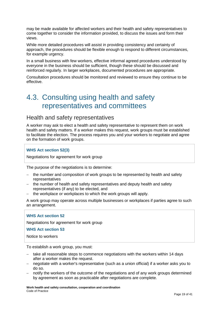may be made available for affected workers and their health and safety representatives to come together to consider the information provided, to discuss the issues and form their views.

While more detailed procedures will assist in providing consistency and certainty of approach, the procedures should be flexible enough to respond to different circumstances, for example urgency.

In a small business with few workers, effective informal agreed procedures understood by everyone in the business should be sufficient, though these should be discussed and reinforced regularly. In larger workplaces, documented procedures are appropriate.

Consultation procedures should be monitored and reviewed to ensure they continue to be effective.

# <span id="page-18-0"></span>4.3. Consulting using health and safety representatives and committees

### Health and safety representatives

A worker may ask to elect a health and safety representative to represent them on work health and safety matters. If a worker makes this request, work groups must be established to facilitate the election. The process requires you and your workers to negotiate and agree on the formation of work groups.

#### **WHS Act section 52(3)**

Negotiations for agreement for work group

The purpose of the negotiations is to determine:

- − the number and composition of work groups to be represented by health and safety representatives
- − the number of health and safety representatives and deputy health and safety representatives (if any) to be elected, and
- the workplace or workplaces to which the work groups will apply.

A work group may operate across multiple businesses or workplaces if parties agree to such an arrangement.

#### **WHS Act section 52**

Negotiations for agreement for work group

**WHS Act section 53** 

Notice to workers

To establish a work group, you must:

- take all reasonable steps to commence negotiations with the workers within 14 days after a worker makes the request.
- − negotiate with a worker's representative (such as a union official) if a worker asks you to do so.
- − notify the workers of the outcome of the negotiations and of any work groups determined by agreement as soon as practicable after negotiations are complete.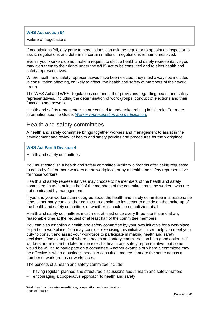#### **WHS Act section 54**

Failure of negotiations

If negotiations fail, any party to negotiations can ask the regulator to appoint an inspector to assist negotiations and determine certain matters if negotiations remain unresolved.

Even if your workers do not make a request to elect a health and safety representative you may alert them to their rights under the WHS Act to be consulted and to elect health and safety representatives.

Where health and safety representatives have been elected, they must always be included in consultation affecting, or likely to affect, the health and safety of members of their work group.

The WHS Act and WHS Regulations contain further provisions regarding health and safety representatives, including the determination of work groups, conduct of elections and their functions and powers.

Health and safety representatives are entitled to undertake training in this role. For more information see the Guide: *[Worker representation and participation](http://www.safeworkaustralia.gov.au/sites/swa/about/publications/pages/worker-representation-guide)*.

## Health and safety committees

A health and safety committee brings together workers and management to assist in the development and review of health and safety policies and procedures for the workplace.

#### **WHS Act Part 5 Division 4**

Health and safety committees

You must establish a health and safety committee within two months after being requested to do so by five or more workers at the workplace, or by a health and safety representative for those workers.

Health and safety representatives may choose to be members of the health and safety committee. In total, at least half of the members of the committee must be workers who are not nominated by management.

If you and your workers cannot agree about the health and safety committee in a reasonable time, either party can ask the regulator to appoint an inspector to decide on the make-up of the health and safety committee, or whether it should be established at all.

Health and safety committees must meet at least once every three months and at any reasonable time at the request of at least half of the committee members.

You can also establish a health and safety committee by your own initiative for a workplace or part of a workplace. You may consider exercising this initiative if it will help you meet your duty to consult and assist your workforce to participate in making health and safety decisions. One example of where a health and safety committee can be a good option is if workers are reluctant to take on the role of a health and safety representative, but some would be willing to participate on a committee. Another example of where a committee may be effective is when a business needs to consult on matters that are the same across a number of work groups or workplaces.

The benefits of a health and safety committee include:

- having regular, planned and structured discussions about health and safety matters
- encouraging a cooperative approach to health and safety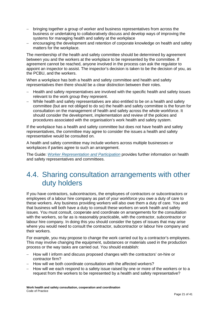- − bringing together a group of worker and business representatives from across the business or undertaking to collaboratively discuss and develop ways of improving the systems for managing health and safety at the workplace
- encouraging the development and retention of corporate knowledge on health and safety matters for the workplace.

The membership of the health and safety committee should be determined by agreement between you and the workers at the workplace to be represented by the committee. If agreement cannot be reached, anyone involved in the process can ask the regulator to appoint an inspector to assist. The inspector's decision is taken to be the decision of you, as the PCBU, and the workers.

When a workplace has both a health and safety committee and health and safety representatives then there should be a clear distinction between their roles.

- − Health and safety representatives are involved with the specific health and safety issues relevant to the work group they represent.
- − While health and safety representatives are also entitled to be on a health and safety committee (but are not obliged to do so) the health and safety committee is the forum for consultation on the management of health and safety across the whole workforce. It should consider the development, implementation and review of the policies and procedures associated with the organisation's work health and safety system.

If the workplace has a health and safety committee but does not have health and safety representatives, the committee may agree to consider the issues a health and safety representative would be consulted on.

A health and safety committee may include workers across multiple businesses or workplaces if parties agree to such an arrangement.

The Guide: *[Worker Representation and Participation](https://www.safeworkaustralia.gov.au/doc/worker-representation-and-participation-guide)* provides further information on health and safety representatives and committees.

# <span id="page-20-0"></span>4.4. Sharing consultation arrangements with other duty holders

If you have contractors, subcontractors, the employees of contractors or subcontractors or employees of a labour hire company as part of your workforce you owe a duty of care to these workers. Any business providing workers will also owe them a duty of care. You and that business will both have a duty to consult these workers on work health and safety issues. You must consult, cooperate and coordinate on arrangements for the consultation with the workers, so far as is reasonably practicable, with the contractor, subcontractor or labour hire company. In doing this you should consider the types of issues that may arise where you would need to consult the contractor, subcontractor or labour hire company and their workers.

For example, you may propose to change the work carried out by a contractor's employees. This may involve changing the equipment, substances or materials used in the production process or the way tasks are carried out. You should establish:

- − How will I inform and discuss proposed changes with the contractors' on-hire or contractor firm?
- − How will we both coordinate consultation with the affected workers?
- − How will we each respond to a safety issue raised by one or more of the workers or to a request from the workers to be represented by a health and safety representative?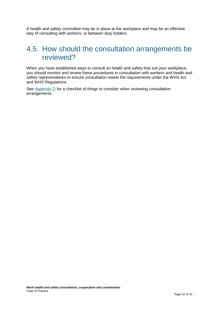A health and safety committee may be in place at the workplace and may be an effective way of consulting with workers, or between duty holders.

## <span id="page-21-0"></span>4.5. How should the consultation arrangements be reviewed?

When you have established ways to consult on health and safety that suit your workplace, you should monitor and review these procedures in consultation with workers and health and safety representatives to ensure consultation meets the requirements under the WHS Act and WHS Regulations.

See [Appendix D](#page-36-0) for a checklist of things to consider when reviewing consultation arrangements.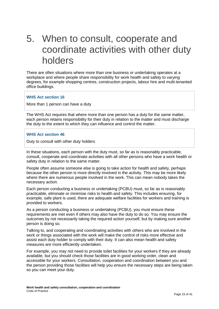# <span id="page-22-0"></span>5. When to consult, cooperate and coordinate activities with other duty holders

There are often situations where more than one business or undertaking operates at a workplace and where people share responsibility for work health and safety to varying degrees, for example shopping centres, construction projects, labour hire and multi-tenanted office buildings.

#### **WHS Act section 16**

More than 1 person can have a duty

The WHS Act requires that where more than one person has a duty for the same matter, each person retains responsibility for their duty in relation to the matter and must discharge the duty to the extent to which they can influence and control the matter.

#### **WHS Act section 46**

Duty to consult with other duty holders

In these situations, each person with the duty must, so far as is reasonably practicable, consult, cooperate and coordinate activities with all other persons who have a work health or safety duty in relation to the same matter.

People often assume someone else is going to take action for health and safety, perhaps because the other person is more directly involved in the activity. This may be more likely where there are numerous people involved in the work. This can mean nobody takes the necessary action.

Each person conducting a business or undertaking (PCBU) must, so far as is reasonably practicable, eliminate or minimise risks to health and safety. This includes ensuring, for example, safe plant is used, there are adequate welfare facilities for workers and training is provided to workers.

As a person conducting a business or undertaking (PCBU), you must ensure these requirements are met even if others may also have the duty to do so. You may ensure the outcomes by not necessarily taking the required action yourself, but by making sure another person is doing so.

Talking to, and cooperating and coordinating activities with others who are involved in the work or things associated with the work will make the control of risks more effective and assist each duty holder to comply with their duty. It can also mean health and safety measures are more efficiently undertaken.

For example, you may not need to provide toilet facilities for your workers if they are already available, but you should check those facilities are in good working order, clean and accessible for your workers. Consultation, cooperation and coordination between you and the person providing those facilities will help you ensure the necessary steps are being taken so you can meet your duty.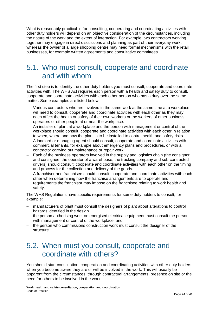What is reasonably practicable for consulting, cooperating and coordinating activities with other duty holders will depend on an objective consideration of the circumstances, including the nature of the work and the extent of interaction. For example, two contractors working together may engage in direct discussions and planning as part of their everyday work, whereas the owner of a large shopping centre may need formal mechanisms with the retail businesses, for example written agreements and consultative committees.

## <span id="page-23-0"></span>5.1. Who must consult, cooperate and coordinate and with whom

The first step is to identify the other duty holders you must consult, cooperate and coordinate activities with. The WHS Act requires each person with a health and safety duty to consult, cooperate and coordinate activities with each other person who has a duty over the same matter. Some examples are listed below.

- Various contractors who are involved in the same work at the same time at a workplace will need to consult, cooperate and coordinate activities with each other as they may each affect the health or safety of their own workers or the workers of other business operators or other people at or near the workplace.
- − An installer of plant at a workplace and the person with management or control of the workplace should consult, cooperate and coordinate activities with each other in relation to when, where and how the plant is to be installed to control health and safety risks.
- − A landlord or managing agent should consult, cooperate and coordinate activities with commercial tenants, for example about emergency plans and procedures, or with a contractor carrying out maintenance or repair work.
- − Each of the business operators involved in the supply and logistics chain (the consignor and consignee, the operator of a warehouse, the trucking company and sub-contracted drivers) should consult, cooperate and coordinate activities with each other on the timing and process for the collection and delivery of the goods.
- − A franchisor and franchisee should consult, cooperate and coordinate activities with each other when determining how the franchise arrangements are to operate and requirements the franchisor may impose on the franchisee relating to work health and safety.

The WHS Regulations have specific requirements for some duty holders to consult, for example:

- manufacturers of plant must consult the designers of plant about alterations to control hazards identified in the design
- − the person authorising work on energised electrical equipment must consult the person with management or control of the workplace, and
- − the person who commissions construction work must consult the designer of the structure.

## <span id="page-23-1"></span>5.2. When must you consult, cooperate and coordinate with others?

You should start consultation, cooperation and coordinating activities with other duty holders when you become aware they are or will be involved in the work. This will usually be apparent from the circumstances, through contractual arrangements, presence on site or the need for others to be involved in the work.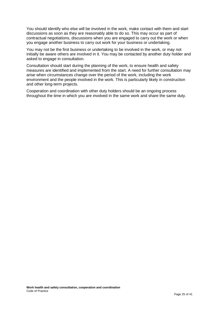You should identify who else will be involved in the work, make contact with them and start discussions as soon as they are reasonably able to do so. This may occur as part of contractual negotiations, discussions when you are engaged to carry out the work or when you engage another business to carry out work for your business or undertaking.

You may not be the first business or undertaking to be involved in the work, or may not initially be aware others are involved in it. You may be contacted by another duty holder and asked to engage in consultation.

Consultation should start during the planning of the work, to ensure health and safety measures are identified and implemented from the start. A need for further consultation may arise when circumstances change over the period of the work, including the work environment and the people involved in the work. This is particularly likely in construction and other long-term projects.

Cooperation and coordination with other duty holders should be an ongoing process throughout the time in which you are involved in the same work and share the same duty.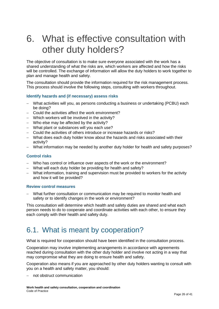# <span id="page-25-0"></span>6. What is effective consultation with other duty holders?

The objective of consultation is to make sure everyone associated with the work has a shared understanding of what the risks are, which workers are affected and how the risks will be controlled. The exchange of information will allow the duty holders to work together to plan and manage health and safety.

The consultation should provide the information required for the risk management process. This process should involve the following steps, consulting with workers throughout.

#### **Identify hazards and (if necessary) assess risks**

- − What activities will you, as persons conducting a business or undertaking (PCBU) each be doing?
- − Could the activities affect the work environment?
- − Which workers will be involved in the activity?
- − Who else may be affected by the activity?
- − What plant or substances will you each use?
- − Could the activities of others introduce or increase hazards or risks?
- − What does each duty holder know about the hazards and risks associated with their activity?
- − What information may be needed by another duty holder for health and safety purposes?

#### **Control risks**

- − Who has control or influence over aspects of the work or the environment?
- − What will each duty holder be providing for health and safety?
- − What information, training and supervision must be provided to workers for the activity and how it will be provided?

#### **Review control measures**

− What further consultation or communication may be required to monitor health and safety or to identify changes in the work or environment?

This consultation will determine which health and safety duties are shared and what each person needs to do to cooperate and coordinate activities with each other, to ensure they each comply with their health and safety duty.

## <span id="page-25-1"></span>6.1. What is meant by cooperation?

What is required for cooperation should have been identified in the consultation process.

Cooperation may involve implementing arrangements in accordance with agreements reached during consultation with the other duty holder and involve not acting in a way that may compromise what they are doing to ensure health and safety.

Cooperation also means if you are approached by other duty holders wanting to consult with you on a health and safety matter, you should:

− not obstruct communication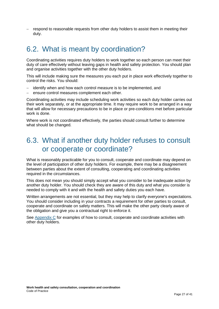− respond to reasonable requests from other duty holders to assist them in meeting their duty.

# <span id="page-26-0"></span>6.2. What is meant by coordination?

Coordinating activities requires duty holders to work together so each person can meet their duty of care effectively without leaving gaps in health and safety protection. You should plan and organise activities together with the other duty holders.

This will include making sure the measures you each put in place work effectively together to control the risks. You should:

- identify when and how each control measure is to be implemented, and
- ensure control measures complement each other.

Coordinating activities may include scheduling work activities so each duty holder carries out their work separately, or at the appropriate time. It may require work to be arranged in a way that will allow for necessary precautions to be in place or pre-conditions met before particular work is done.

Where work is not coordinated effectively, the parties should consult further to determine what should be changed.

## <span id="page-26-1"></span>6.3. What if another duty holder refuses to consult or cooperate or coordinate?

What is reasonably practicable for you to consult, cooperate and coordinate may depend on the level of participation of other duty holders. For example, there may be a disagreement between parties about the extent of consulting, cooperating and coordinating activities required in the circumstances.

This does not mean you should simply accept what you consider to be inadequate action by another duty holder. You should check they are aware of this duty and what you consider is needed to comply with it and with the health and safety duties you each have.

Written arrangements are not essential, but they may help to clarify everyone's expectations. You should consider including in your contracts a requirement for other parties to consult, cooperate and coordinate on safety matters. This will make the other party clearly aware of the obligation and give you a contractual right to enforce it.

See [Appendix C](#page-32-0) for examples of how to consult, cooperate and coordinate activities with other duty holders.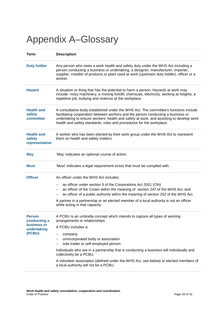# <span id="page-27-0"></span>Appendix A–Glossary

| <b>Term</b>                                                           | <b>Description</b>                                                                                                                                                                                                                                                                                                                                                                                                                                                                   |  |  |  |
|-----------------------------------------------------------------------|--------------------------------------------------------------------------------------------------------------------------------------------------------------------------------------------------------------------------------------------------------------------------------------------------------------------------------------------------------------------------------------------------------------------------------------------------------------------------------------|--|--|--|
| <b>Duty holder</b>                                                    | Any person who owes a work health and safety duty under the WHS Act including a<br>person conducting a business or undertaking, a designer, manufacturer, importer,<br>supplier, installer of products or plant used at work (upstream duty holder), officer or a<br>worker.                                                                                                                                                                                                         |  |  |  |
| <b>Hazard</b>                                                         | A situation or thing that has the potential to harm a person. Hazards at work may<br>include: noisy machinery, a moving forklift, chemicals, electricity, working at heights, a<br>repetitive job, bullying and violence at the workplace.                                                                                                                                                                                                                                           |  |  |  |
| <b>Health and</b><br>safety<br>committee                              | A consultative body established under the WHS Act. The committee's functions include<br>facilitating cooperation between workers and the person conducting a business or<br>undertaking to ensure workers' health and safety at work, and assisting to develop work<br>health and safety standards, rules and procedures for the workplace.                                                                                                                                          |  |  |  |
| <b>Health and</b><br>safety<br>representative                         | A worker who has been elected by their work group under the WHS Act to represent<br>them on health and safety matters.                                                                                                                                                                                                                                                                                                                                                               |  |  |  |
| <b>May</b>                                                            | 'May' indicates an optional course of action.                                                                                                                                                                                                                                                                                                                                                                                                                                        |  |  |  |
| Must                                                                  | 'Must' indicates a legal requirement exists that must be complied with.                                                                                                                                                                                                                                                                                                                                                                                                              |  |  |  |
| <b>Officer</b>                                                        | An officer under the WHS Act includes:<br>an officer under section 9 of the Corporations Act 2001 (Cth)<br>an officer of the Crown within the meaning of section 247 of the WHS Act, and<br>an officer of a public authority within the meaning of section 252 of the WHS Act.<br>A partner in a partnership or an elected member of a local authority is not an officer<br>while acting in that capacity.                                                                           |  |  |  |
| <b>Person</b><br>conducting a<br>business or<br>undertaking<br>(PCBU) | A PCBU is an umbrella concept which intends to capture all types of working<br>arrangements or relationships.<br>A PCBU includes a:<br>company<br>unincorporated body or association<br>sole trader or self-employed person.<br>Individuals who are in a partnership that is conducting a business will individually and<br>collectively be a PCBU.<br>A volunteer association (defined under the WHS Act, see below) or elected members of<br>a local authority will not be a PCBU. |  |  |  |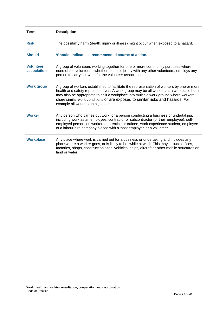| <b>Term</b>                     | <b>Description</b>                                                                                                                                                                                                                                                                                                                                                                                     |
|---------------------------------|--------------------------------------------------------------------------------------------------------------------------------------------------------------------------------------------------------------------------------------------------------------------------------------------------------------------------------------------------------------------------------------------------------|
| <b>Risk</b>                     | The possibility harm (death, injury or illness) might occur when exposed to a hazard.                                                                                                                                                                                                                                                                                                                  |
| <b>Should</b>                   | 'Should' indicates a recommended course of action.                                                                                                                                                                                                                                                                                                                                                     |
| <b>Volunteer</b><br>association | A group of volunteers working together for one or more community purposes where<br>none of the volunteers, whether alone or jointly with any other volunteers, employs any<br>person to carry out work for the volunteer association.                                                                                                                                                                  |
| <b>Work group</b>               | A group of workers established to facilitate the representation of workers by one or more<br>health and safety representatives. A work group may be all workers at a workplace but it<br>may also be appropriate to split a workplace into multiple work groups where workers<br>share similar work conditions or are exposed to similar risks and hazards. For<br>example all workers on night shift. |
| <b>Worker</b>                   | Any person who carries out work for a person conducting a business or undertaking,<br>including work as an employee, contractor or subcontractor (or their employee), self-<br>employed person, outworker, apprentice or trainee, work experience student, employee<br>of a labour hire company placed with a 'host employer' or a volunteer.                                                          |
| <b>Workplace</b>                | Any place where work is carried out for a business or undertaking and includes any<br>place where a worker goes, or is likely to be, while at work. This may include offices,<br>factories, shops, construction sites, vehicles, ships, aircraft or other mobile structures on<br>land or water.                                                                                                       |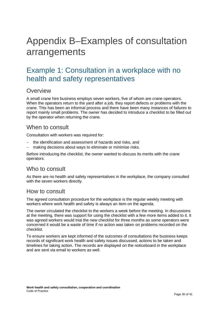# <span id="page-29-0"></span>Appendix B–Examples of consultation arrangements

## <span id="page-29-1"></span>Example 1: Consultation in a workplace with no health and safety representatives

### **Overview**

A small crane hire business employs seven workers, five of whom are crane operators. When the operators return to the yard after a job, they report defects or problems with the crane. This has been an informal process and there have been many instances of failures to report mainly small problems. The owner has decided to introduce a checklist to be filled out by the operator when returning the crane.

### When to consult

Consultation with workers was required for:

- − the identification and assessment of hazards and risks, and
- − making decisions about ways to eliminate or minimise risks.

Before introducing the checklist, the owner wanted to discuss its merits with the crane operators.

## Who to consult

As there are no health and safety representatives in the workplace, the company consulted with the seven workers directly.

### How to consult

The agreed consultation procedure for the workplace is the regular weekly meeting with workers where work health and safety is always an item on the agenda.

The owner circulated the checklist to the workers a week before the meeting. In discussions at the meeting, there was support for using the checklist with a few more items added to it. It was agreed workers would trial the new checklist for three months as some operators were concerned it would be a waste of time if no action was taken on problems recorded on the checklist.

To ensure workers are kept informed of the outcomes of consultations the business keeps records of significant work health and safety issues discussed, actions to be taken and timelines for taking action. The records are displayed on the noticeboard in the workplace and are sent via email to workers as well.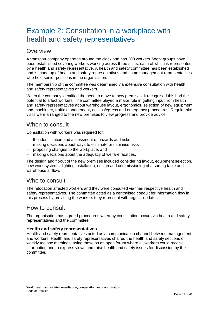# <span id="page-30-0"></span>Example 2: Consultation in a workplace with health and safety representatives

## **Overview**

A transport company operates around the clock and has 200 workers. Work groups have been established covering workers working across three shifts, each of which is represented by a health and safety representative. A health and safety committee has been established and is made up of health and safety representatives and some management representatives who hold senior positions in the organisation.

The membership of the committee was determined via extensive consultation with health and safety representatives and workers.

When the company identified the need to move to new premises, it recognised this had the potential to affect workers. The committee played a major role in getting input from health and safety representatives about warehouse layout, ergonomics, selection of new equipment and machinery, traffic management, access/egress and emergency procedures. Regular site visits were arranged to the new premises to view progress and provide advice.

## When to consult

Consultation with workers was required for:

- − the identification and assessment of hazards and risks
- − making decisions about ways to eliminate or minimise risks
- − proposing changes to the workplace, and
- naking decisions about the adequacy of welfare facilities.

The design and fit-out of the new premises included considering layout, equipment selection, new work systems, lighting installation, design and commissioning of a sorting table and warehouse airflow.

### Who to consult

The relocation affected workers and they were consulted via their respective health and safety representatives. The committee acted as a centralised conduit for information flow in this process by providing the workers they represent with regular updates.

## How to consult

The organisation has agreed procedures whereby consultation occurs via health and safety representatives and the committee.

#### **Health and safety representatives**

Health and safety representatives acted as a communication channel between management and workers. Health and safety representatives chaired the health and safety sections of weekly toolbox meetings, using these as an open forum where all workers could receive information and to express views and raise health and safety issues for discussion by the committee.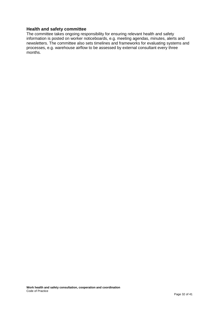#### **Health and safety committee**

The committee takes ongoing responsibility for ensuring relevant health and safety information is posted on worker noticeboards, e.g. meeting agendas, minutes, alerts and newsletters. The committee also sets timelines and frameworks for evaluating systems and processes, e.g. warehouse airflow to be assessed by external consultant every three months.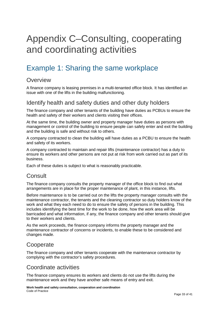# <span id="page-32-0"></span>Appendix C–Consulting, cooperating and coordinating activities

# <span id="page-32-1"></span>Example 1: Sharing the same workplace

## **Overview**

A finance company is leasing premises in a multi-tenanted office block. It has identified an issue with one of the lifts in the building malfunctioning.

### Identify health and safety duties and other duty holders

The finance company and other tenants of the building have duties as PCBUs to ensure the health and safety of their workers and clients visiting their offices.

At the same time, the building owner and property manager have duties as persons with management or control of the building to ensure people can safely enter and exit the building and the building is safe and without risk to others.

A company contracted to clean the building will have duties as a PCBU to ensure the health and safety of its workers.

A company contracted to maintain and repair lifts (maintenance contractor) has a duty to ensure its workers and other persons are not put at risk from work carried out as part of its business.

Each of these duties is subject to what is reasonably practicable.

## **Consult**

The finance company consults the property manager of the office block to find out what arrangements are in place for the proper maintenance of plant, in this instance, lifts.

Before maintenance is to be carried out on the lifts the property manager consults with the maintenance contractor, the tenants and the cleaning contractor so duty holders know of the work and what they each need to do to ensure the safety of persons in the building. This includes identifying the best time for the work to be done, how the work area will be barricaded and what information, if any, the finance company and other tenants should give to their workers and clients.

As the work proceeds, the finance company informs the property manager and the maintenance contractor of concerns or incidents, to enable these to be considered and changes made.

## **Cooperate**

The finance company and other tenants cooperate with the maintenance contractor by complying with the contractor's safety procedures.

## Coordinate activities

The finance company ensures its workers and clients do not use the lifts during the maintenance work and they have another safe means of entry and exit.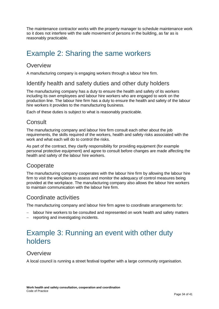The maintenance contractor works with the property manager to schedule maintenance work so it does not interfere with the safe movement of persons in the building, as far as is reasonably practicable.

# <span id="page-33-0"></span>Example 2: Sharing the same workers

### **Overview**

A manufacturing company is engaging workers through a labour hire firm.

## Identify health and safety duties and other duty holders

The manufacturing company has a duty to ensure the health and safety of its workers including its own employees and labour hire workers who are engaged to work on the production line. The labour hire firm has a duty to ensure the health and safety of the labour hire workers it provides to the manufacturing business.

Each of these duties is subject to what is reasonably practicable.

## **Consult**

The manufacturing company and labour hire firm consult each other about the job requirements, the skills required of the workers, health and safety risks associated with the work and what each will do to control the risks.

As part of the contract, they clarify responsibility for providing equipment (for example personal protective equipment) and agree to consult before changes are made affecting the health and safety of the labour hire workers.

## **Cooperate**

The manufacturing company cooperates with the labour hire firm by allowing the labour hire firm to visit the workplace to assess and monitor the adequacy of control measures being provided at the workplace. The manufacturing company also allows the labour hire workers to maintain communication with the labour hire firm.

### Coordinate activities

The manufacturing company and labour hire firm agree to coordinate arrangements for:

- − labour hire workers to be consulted and represented on work health and safety matters
- <span id="page-33-1"></span>− reporting and investigating incidents.

# Example 3: Running an event with other duty holders

## **Overview**

A local council is running a street festival together with a large community organisation.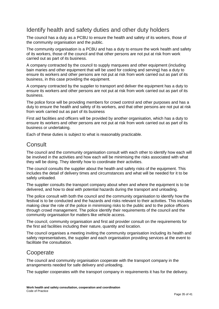## Identify health and safety duties and other duty holders

The council has a duty as a PCBU to ensure the health and safety of its workers, those of the community organisation and the public.

The community organisation is a PCBU and has a duty to ensure the work health and safety of its workers, those of the council and that other persons are not put at risk from work carried out as part of its business.

A company contracted by the council to supply marquees and other equipment (including bain maries and other equipment that will be used for cooking and serving) has a duty to ensure its workers and other persons are not put at risk from work carried out as part of its business, in this case providing the equipment.

A company contracted by the supplier to transport and deliver the equipment has a duty to ensure its workers and other persons are not put at risk from work carried out as part of its business.

The police force will be providing members for crowd control and other purposes and has a duty to ensure the health and safety of its workers, and that other persons are not put at risk from work carried out as part of its business

First aid facilities and officers will be provided by another organisation, which has a duty to ensure its workers and other persons are not put at risk from work carried out as part of its business or undertaking.

Each of these duties is subject to what is reasonably practicable.

## **Consult**

The council and the community organisation consult with each other to identify how each will be involved in the activities and how each will be minimising the risks associated with what they will be doing. They identify how to coordinate their activities.

The council consults the supplier about the health and safety risks of the equipment. This includes the detail of delivery times and circumstances and what will be needed for it to be safely unloaded.

The supplier consults the transport company about when and where the equipment is to be delivered, and how to deal with potential hazards during the transport and unloading.

The police consult with both the council and the community organisation to identify how the festival is to be conducted and the hazards and risks relevant to their activities. This includes making clear the role of the police in minimising risks to the public and to the police officers through crowd management. The police identify their requirements of the council and the community organisation for matters like vehicle access.

The council, community organisation and first aid provider consult on the requirements for the first aid facilities including their nature, quantity and location.

The council organises a meeting inviting the community organisation including its health and safety representatives, the supplier and each organisation providing services at the event to facilitate the consultation.

## **Cooperate**

The council and community organisation cooperate with the transport company in the arrangements needed for safe delivery and unloading.

The supplier cooperates with the transport company in requirements it has for the delivery.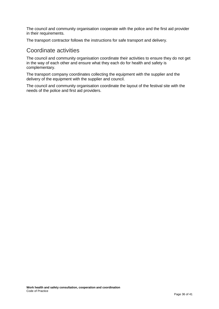The council and community organisation cooperate with the police and the first aid provider in their requirements.

The transport contractor follows the instructions for safe transport and delivery.

### Coordinate activities

The council and community organisation coordinate their activities to ensure they do not get in the way of each other and ensure what they each do for health and safety is complementary.

The transport company coordinates collecting the equipment with the supplier and the delivery of the equipment with the supplier and council.

The council and community organisation coordinate the layout of the festival site with the needs of the police and first aid providers.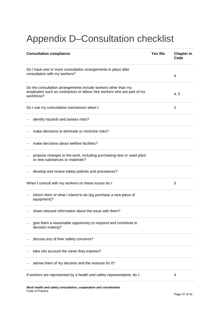# <span id="page-36-0"></span>Appendix D–Consultation checklist

| <b>Consultation compliance</b>                                                                                                                          | Yes /No | <b>Chapter in</b><br>Code |
|---------------------------------------------------------------------------------------------------------------------------------------------------------|---------|---------------------------|
| Do I have one or more consultation arrangements in place after<br>consultation with my workers?                                                         |         |                           |
| Do the consultation arrangements include workers other than my<br>employees such as contractors or labour hire workers who are part of my<br>workforce? |         | 4, 5                      |
| Do I use my consultation mechanism when I:                                                                                                              |         | $\overline{2}$            |
| identify hazards and assess risks?                                                                                                                      |         |                           |
| make decisions to eliminate or minimise risks?                                                                                                          |         |                           |
| make decisions about welfare facilities?                                                                                                                |         |                           |
| propose changes to the work, including purchasing new or used plant<br>or new substances or materials?                                                  |         |                           |
| develop and review safety policies and procedures?                                                                                                      |         |                           |
| When I consult with my workers on these issues do I:                                                                                                    |         | 3                         |
| inform them of what I intend to do (eg purchase a new piece of<br>equipment)?                                                                           |         |                           |
| share relevant information about the issue with them?                                                                                                   |         |                           |
| give them a reasonable opportunity to respond and contribute to<br>decision making?                                                                     |         |                           |
| discuss any of their safety concerns?                                                                                                                   |         |                           |
| take into account the views they express?                                                                                                               |         |                           |
| advise them of my decision and the reasons for it?                                                                                                      |         |                           |
| If workers are represented by a health and safety representative, do I:<br>4                                                                            |         |                           |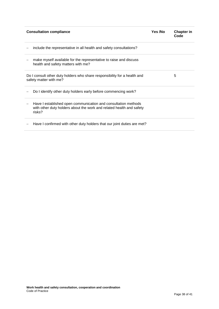| <b>Consultation compliance</b>                                                                                                                   | Yes /No | <b>Chapter in</b><br>Code |
|--------------------------------------------------------------------------------------------------------------------------------------------------|---------|---------------------------|
| include the representative in all health and safety consultations?                                                                               |         |                           |
| make myself available for the representative to raise and discuss<br>health and safety matters with me?                                          |         |                           |
| Do I consult other duty holders who share responsibility for a health and<br>safety matter with me?                                              |         | 5                         |
| Do I identify other duty holders early before commencing work?                                                                                   |         |                           |
| Have I established open communication and consultation methods<br>with other duty holders about the work and related health and safety<br>risks? |         |                           |
| Have I confirmed with other duty holders that our joint duties are met?                                                                          |         |                           |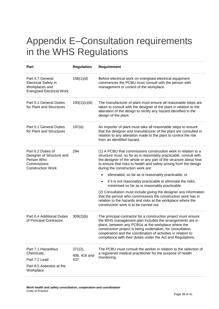# <span id="page-38-0"></span>Appendix E–Consultation requirements in the WHS Regulations

| Part                                                                                                     | <b>Regulation</b>              | <b>Requirement</b>                                                                                                                                                                                                                                                                                                                                                                                                                                                                                                                                                          |
|----------------------------------------------------------------------------------------------------------|--------------------------------|-----------------------------------------------------------------------------------------------------------------------------------------------------------------------------------------------------------------------------------------------------------------------------------------------------------------------------------------------------------------------------------------------------------------------------------------------------------------------------------------------------------------------------------------------------------------------------|
| Part 4.7 General<br><b>Electrical Safety in</b><br>Workplaces and<br><b>Energised Electrical Work</b>    | 158(1)(d)                      | Before electrical work on energised electrical equipment<br>commences the PCBU must consult with the person with<br>management or control of the workplace.                                                                                                                                                                                                                                                                                                                                                                                                                 |
| Part 5.1 General Duties<br>for Plant and Structures                                                      | 193(1)(c)(iii)                 | The manufacturer of plant must ensure all reasonable steps are<br>taken to consult with the designer of the plant in relation to the<br>alteration of the design to rectify any hazard identified in the<br>design of the plant.                                                                                                                                                                                                                                                                                                                                            |
| Part 5.1 General Duties<br>for Plant and Structures                                                      | 197(d)                         | An importer of plant must take all reasonable steps to ensure<br>that the designer and manufacturer of the plant are consulted in<br>relation to any alteration made to the plant to control the risk<br>from an identified hazard.                                                                                                                                                                                                                                                                                                                                         |
| Part 6.2 Duties of<br>Designer of Structure and<br>Person Who<br>Commissions<br><b>Construction Work</b> | 294                            | (1) A PCBU that commissions construction work in relation to a<br>structure must, so far as is reasonably practicable, consult with<br>the designer of the whole or any part of the structure about how<br>to ensure that risks to health and safety arising from the design<br>during the construction work are:<br>eliminated, so far as is reasonably practicable; or<br>if it is not reasonably practicable to eliminate the risks,<br>$\bullet$<br>minimised so far as is reasonably practicable.<br>(2) Consultation must include giving the designer any information |
|                                                                                                          |                                | that the person who commissions the construction work has in<br>relation to the hazards and risks at the workplace where the<br>construction work is to be carried out.                                                                                                                                                                                                                                                                                                                                                                                                     |
| Part 6.4 Additional Duties<br>of Principal Contractor                                                    | 309(2)(b)                      | The principal contractor for a construction project must ensure<br>the WHS management plan includes the arrangements are in<br>place, between any PCBUs at the workplace where the<br>construction project is being undertaken, for consultation,<br>cooperation and the coordination of activities in relation to<br>compliance with their duties under the Act and Regulations.                                                                                                                                                                                           |
| Part 7.1 Hazardous<br>Chemicals,<br>Part 7.2 Lead<br>Part 8.5 Asbestos at the<br>Workplace               | 371(2),<br>408, 416 and<br>437 | The PCBU must consult the worker in relation to the selection of<br>a registered medical practitioner for the purpose of health<br>monitoring.                                                                                                                                                                                                                                                                                                                                                                                                                              |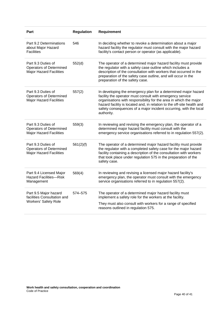| Part                                                                                   | <b>Regulation</b> | Requirement                                                                                                                                                                                                                                                                                                                                                   |
|----------------------------------------------------------------------------------------|-------------------|---------------------------------------------------------------------------------------------------------------------------------------------------------------------------------------------------------------------------------------------------------------------------------------------------------------------------------------------------------------|
| Part 9.2 Determinations<br>about Major Hazard<br><b>Facilities</b>                     | 546               | In deciding whether to revoke a determination about a major<br>hazard facility the regulator must consult with the major hazard<br>facility's contact person or operator (as applicable).                                                                                                                                                                     |
| Part 9.3 Duties of<br><b>Operators of Determined</b><br><b>Major Hazard Facilities</b> | 552(d)            | The operator of a determined major hazard facility must provide<br>the regulator with a safety case outline which includes a<br>description of the consultation with workers that occurred in the<br>preparation of the safety case outline, and will occur in the<br>preparation of the safety case.                                                         |
| Part 9.3 Duties of<br><b>Operators of Determined</b><br><b>Major Hazard Facilities</b> | 557(2)            | In developing the emergency plan for a determined major hazard<br>facility the operator must consult with emergency service<br>organisations with responsibility for the area in which the major<br>hazard facility is located and, in relation to the off-site health and<br>safety consequences of a major incident occurring, with the local<br>authority. |
| Part 9.3 Duties of<br><b>Operators of Determined</b><br><b>Major Hazard Facilities</b> | 559(3)            | In reviewing and revising the emergency plan, the operator of a<br>determined major hazard facility must consult with the<br>emergency service organisations referred to in regulation 557(2).                                                                                                                                                                |
| Part 9.3 Duties of<br><b>Operators of Determined</b><br><b>Major Hazard Facilities</b> | 561(2)(f)         | The operator of a determined major hazard facility must provide<br>the regulator with a completed safety case for the major hazard<br>facility containing a description of the consultation with workers<br>that took place under regulation 575 in the preparation of the<br>safety case.                                                                    |
| Part 9.4 Licensed Major<br><b>Hazard Facilities-Risk</b><br>Management                 | 569(4)            | In reviewing and revising a licensed major hazard facility's<br>emergency plan, the operator must consult with the emergency<br>service organisations referred to in regulation 557(2).                                                                                                                                                                       |
| Part 9.5 Major hazard<br>facilities Consultation and<br><b>Workers' Safety Role</b>    | 574-575           | The operator of a determined major hazard facility must<br>implement a safety role for the workers at the facility.<br>They must also consult with workers for a range of specified<br>reasons outlined in regulation 575.                                                                                                                                    |